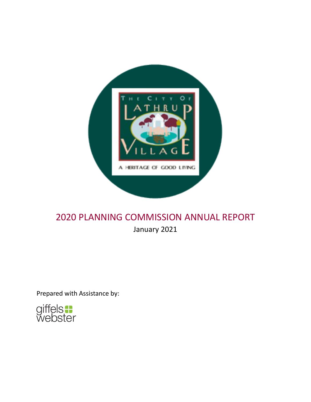

# 2020 PLANNING COMMISSION ANNUAL REPORT January 2021

Prepared with Assistance by:

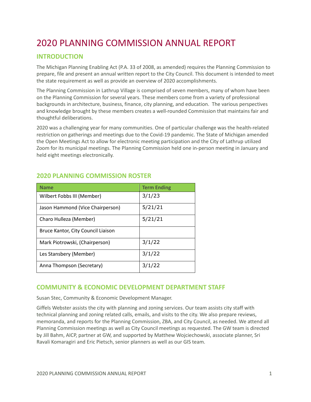# 2020 PLANNING COMMISSION ANNUAL REPORT

# **INTRODUCTION**

The Michigan Planning Enabling Act (P.A. 33 of 2008, as amended) requires the Planning Commission to prepare, file and present an annual written report to the City Council. This document is intended to meet the state requirement as well as provide an overview of 2020 accomplishments.

The Planning Commission in Lathrup Village is comprised of seven members, many of whom have been on the Planning Commission for several years. These members come from a variety of professional backgrounds in architecture, business, finance, city planning, and education. The various perspectives and knowledge brought by these members creates a well-rounded Commission that maintains fair and thoughtful deliberations.

2020 was a challenging year for many communities. One of particular challenge was the health-related restriction on gatherings and meetings due to the Covid-19 pandemic. The State of Michigan amended the Open Meetings Act to allow for electronic meeting participation and the City of Lathrup utilized Zoom for its municipal meetings. The Planning Commission held one in-person meeting in January and held eight meetings electronically.

| <b>Name</b>                        | <b>Term Ending</b> |
|------------------------------------|--------------------|
| Wilbert Fobbs III (Member)         | 3/1/23             |
| Jason Hammond (Vice Chairperson)   | 5/21/21            |
| Charo Hulleza (Member)             | 5/21/21            |
| Bruce Kantor, City Council Liaison |                    |
| Mark Piotrowski, (Chairperson)     | 3/1/22             |
| Les Stansbery (Member)             | 3/1/22             |
| Anna Thompson (Secretary)          | 3/1/22             |

# **2020 PLANNING COMMISSION ROSTER**

## **COMMUNITY & ECONOMIC DEVELOPMENT DEPARTMENT STAFF**

Susan Stec, Community & Economic Development Manager.

Giffels Webster assists the city with planning and zoning services. Our team assists city staff with technical planning and zoning related calls, emails, and visits to the city. We also prepare reviews, memoranda, and reports for the Planning Commission, ZBA, and City Council, as needed. We attend all Planning Commission meetings as well as City Council meetings as requested. The GW team is directed by Jill Bahm, AICP, partner at GW, and supported by Matthew Wojciechowski, associate planner, Sri Ravali Komaragiri and Eric Pietsch, senior planners as well as our GIS team.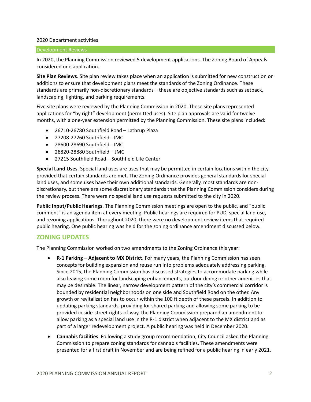#### 2020 Department activities

#### Development Reviews

In 2020, the Planning Commission reviewed 5 development applications. The Zoning Board of Appeals considered one application.

**Site Plan Reviews**. Site plan review takes place when an application is submitted for new construction or additions to ensure that development plans meet the standards of the Zoning Ordinance. These standards are primarily non-discretionary standards – these are objective standards such as setback, landscaping, lighting, and parking requirements.

Five site plans were reviewed by the Planning Commission in 2020. These site plans represented applications for "by right" development (permitted uses). Site plan approvals are valid for twelve months, with a one-year extension permitted by the Planning Commission. These site plans included:

- 26710-26780 Southfield Road Lathrup Plaza
- 27208-27260 Southfield JMC
- 28600-28690 Southfield JMC
- 28820-28880 Southfield JMC
- 27215 Southfield Road Southfield Life Center

**Special Land Uses**. Special land uses are uses that may be permitted in certain locations within the city, provided that certain standards are met. The Zoning Ordinance provides general standards for special land uses, and some uses have their own additional standards. Generally, most standards are nondiscretionary, but there are some discretionary standards that the Planning Commission considers during the review process. There were no special land use requests submitted to the city in 2020.

**Public Input/Public Hearings**. The Planning Commission meetings are open to the public, and "public comment" is an agenda item at every meeting. Public hearings are required for PUD, special land use, and rezoning applications. Throughout 2020, there were no development review items that required public hearing. One public hearing was held for the zoning ordinance amendment discussed below.

### **ZONING UPDATES**

The Planning Commission worked on two amendments to the Zoning Ordinance this year:

- **R-1 Parking – Adjacent to MX District**. For many years, the Planning Commission has seen concepts for building expansion and reuse run into problems adequately addressing parking. Since 2015, the Planning Commission has discussed strategies to accommodate parking while also leaving some room for landscaping enhancements, outdoor dining or other amenities that may be desirable. The linear, narrow development pattern of the city's commercial corridor is bounded by residential neighborhoods on one side and Southfield Road on the other. Any growth or revitalization has to occur within the 100 ft depth of these parcels. In addition to updating parking standards, providing for shared parking and allowing some parking to be provided in side-street rights-of-way, the Planning Commission prepared an amendment to allow parking as a special land use in the R-1 district when adjacent to the MX district and as part of a larger redevelopment project. A public hearing was held in December 2020.
- **Cannabis facilities**. Following a study group recommendation, City Council asked the Planning Commission to prepare zoning standards for cannabis facilities. These amendments were presented for a first draft in November and are being refined for a public hearing in early 2021.